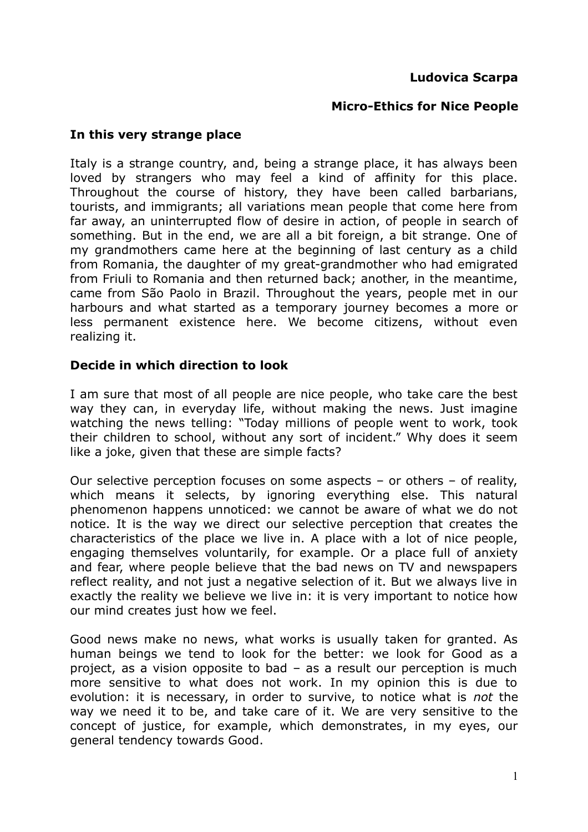### **Ludovica Scarpa**

#### **Micro-Ethics for Nice People**

#### **In this very strange place**

Italy is a strange country, and, being a strange place, it has always been loved by strangers who may feel a kind of affinity for this place. Throughout the course of history, they have been called barbarians, tourists, and immigrants; all variations mean people that come here from far away, an uninterrupted flow of desire in action, of people in search of something. But in the end, we are all a bit foreign, a bit strange. One of my grandmothers came here at the beginning of last century as a child from Romania, the daughter of my great-grandmother who had emigrated from Friuli to Romania and then returned back; another, in the meantime, came from São Paolo in Brazil. Throughout the years, people met in our harbours and what started as a temporary journey becomes a more or less permanent existence here. We become citizens, without even realizing it.

#### **Decide in which direction to look**

I am sure that most of all people are nice people, who take care the best way they can, in everyday life, without making the news. Just imagine watching the news telling: "Today millions of people went to work, took their children to school, without any sort of incident." Why does it seem like a joke, given that these are simple facts?

Our selective perception focuses on some aspects – or others – of reality, which means it selects, by ignoring everything else. This natural phenomenon happens unnoticed: we cannot be aware of what we do not notice. It is the way we direct our selective perception that creates the characteristics of the place we live in. A place with a lot of nice people, engaging themselves voluntarily, for example. Or a place full of anxiety and fear, where people believe that the bad news on TV and newspapers reflect reality, and not just a negative selection of it. But we always live in exactly the reality we believe we live in: it is very important to notice how our mind creates just how we feel.

Good news make no news, what works is usually taken for granted. As human beings we tend to look for the better: we look for Good as a project, as a vision opposite to bad – as a result our perception is much more sensitive to what does not work. In my opinion this is due to evolution: it is necessary, in order to survive, to notice what is *not* the way we need it to be, and take care of it. We are very sensitive to the concept of justice, for example, which demonstrates, in my eyes, our general tendency towards Good.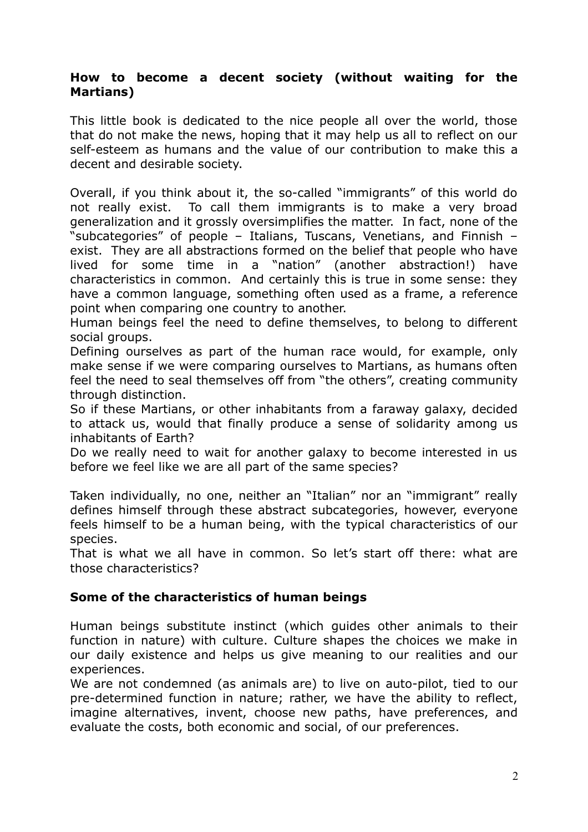#### **How to become a decent society (without waiting for the Martians)**

This little book is dedicated to the nice people all over the world, those that do not make the news, hoping that it may help us all to reflect on our self-esteem as humans and the value of our contribution to make this a decent and desirable society.

Overall, if you think about it, the so-called "immigrants" of this world do not really exist. To call them immigrants is to make a very broad generalization and it grossly oversimplifies the matter. In fact, none of the "subcategories" of people – Italians, Tuscans, Venetians, and Finnish – exist. They are all abstractions formed on the belief that people who have lived for some time in a "nation" (another abstraction!) have characteristics in common. And certainly this is true in some sense: they have a common language, something often used as a frame, a reference point when comparing one country to another.

Human beings feel the need to define themselves, to belong to different social groups.

Defining ourselves as part of the human race would, for example, only make sense if we were comparing ourselves to Martians, as humans often feel the need to seal themselves off from "the others", creating community through distinction.

So if these Martians, or other inhabitants from a faraway galaxy, decided to attack us, would that finally produce a sense of solidarity among us inhabitants of Earth?

Do we really need to wait for another galaxy to become interested in us before we feel like we are all part of the same species?

Taken individually, no one, neither an "Italian" nor an "immigrant" really defines himself through these abstract subcategories, however, everyone feels himself to be a human being, with the typical characteristics of our species.

That is what we all have in common. So let's start off there: what are those characteristics?

### **Some of the characteristics of human beings**

Human beings substitute instinct (which guides other animals to their function in nature) with culture. Culture shapes the choices we make in our daily existence and helps us give meaning to our realities and our experiences.

We are not condemned (as animals are) to live on auto-pilot, tied to our pre-determined function in nature; rather, we have the ability to reflect, imagine alternatives, invent, choose new paths, have preferences, and evaluate the costs, both economic and social, of our preferences.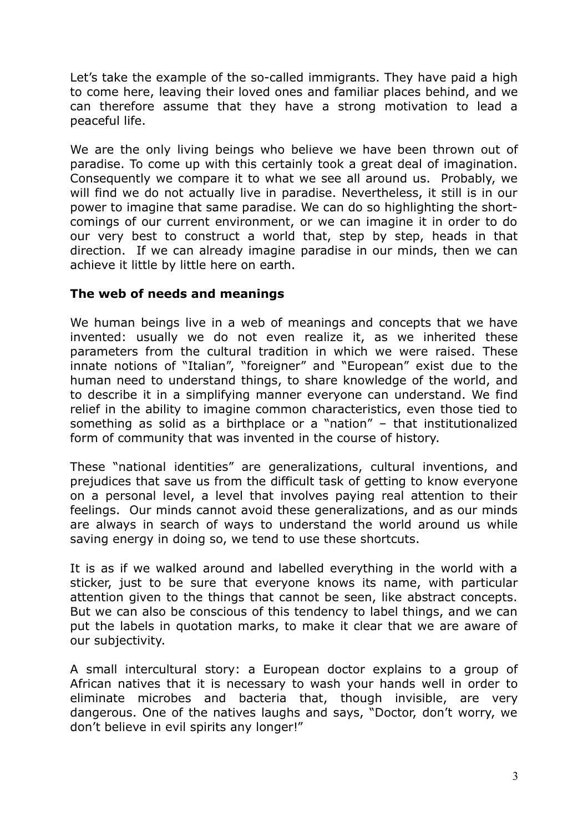Let's take the example of the so-called immigrants. They have paid a high to come here, leaving their loved ones and familiar places behind, and we can therefore assume that they have a strong motivation to lead a peaceful life.

We are the only living beings who believe we have been thrown out of paradise. To come up with this certainly took a great deal of imagination. Consequently we compare it to what we see all around us. Probably, we will find we do not actually live in paradise. Nevertheless, it still is in our power to imagine that same paradise. We can do so highlighting the shortcomings of our current environment, or we can imagine it in order to do our very best to construct a world that, step by step, heads in that direction. If we can already imagine paradise in our minds, then we can achieve it little by little here on earth.

### **The web of needs and meanings**

We human beings live in a web of meanings and concepts that we have invented: usually we do not even realize it, as we inherited these parameters from the cultural tradition in which we were raised. These innate notions of "Italian", "foreigner" and "European" exist due to the human need to understand things, to share knowledge of the world, and to describe it in a simplifying manner everyone can understand. We find relief in the ability to imagine common characteristics, even those tied to something as solid as a birthplace or a "nation" – that institutionalized form of community that was invented in the course of history.

These "national identities" are generalizations, cultural inventions, and prejudices that save us from the difficult task of getting to know everyone on a personal level, a level that involves paying real attention to their feelings. Our minds cannot avoid these generalizations, and as our minds are always in search of ways to understand the world around us while saving energy in doing so, we tend to use these shortcuts.

It is as if we walked around and labelled everything in the world with a sticker, just to be sure that everyone knows its name, with particular attention given to the things that cannot be seen, like abstract concepts. But we can also be conscious of this tendency to label things, and we can put the labels in quotation marks, to make it clear that we are aware of our subjectivity.

A small intercultural story: a European doctor explains to a group of African natives that it is necessary to wash your hands well in order to eliminate microbes and bacteria that, though invisible, are very dangerous. One of the natives laughs and says, "Doctor, don't worry, we don't believe in evil spirits any longer!"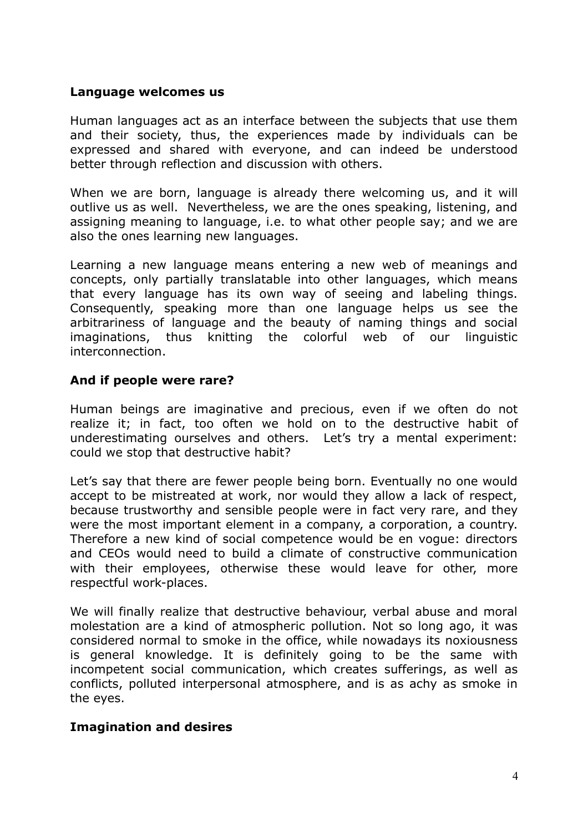#### **Language welcomes us**

Human languages act as an interface between the subjects that use them and their society, thus, the experiences made by individuals can be expressed and shared with everyone, and can indeed be understood better through reflection and discussion with others.

When we are born, language is already there welcoming us, and it will outlive us as well. Nevertheless, we are the ones speaking, listening, and assigning meaning to language, i.e. to what other people say; and we are also the ones learning new languages.

Learning a new language means entering a new web of meanings and concepts, only partially translatable into other languages, which means that every language has its own way of seeing and labeling things. Consequently, speaking more than one language helps us see the arbitrariness of language and the beauty of naming things and social imaginations, thus knitting the colorful web of our linguistic interconnection.

#### **And if people were rare?**

Human beings are imaginative and precious, even if we often do not realize it; in fact, too often we hold on to the destructive habit of underestimating ourselves and others. Let's try a mental experiment: could we stop that destructive habit?

Let's say that there are fewer people being born. Eventually no one would accept to be mistreated at work, nor would they allow a lack of respect, because trustworthy and sensible people were in fact very rare, and they were the most important element in a company, a corporation, a country. Therefore a new kind of social competence would be en vogue: directors and CEOs would need to build a climate of constructive communication with their employees, otherwise these would leave for other, more respectful work-places.

We will finally realize that destructive behaviour, verbal abuse and moral molestation are a kind of atmospheric pollution. Not so long ago, it was considered normal to smoke in the office, while nowadays its noxiousness is general knowledge. It is definitely going to be the same with incompetent social communication, which creates sufferings, as well as conflicts, polluted interpersonal atmosphere, and is as achy as smoke in the eyes.

#### **Imagination and desires**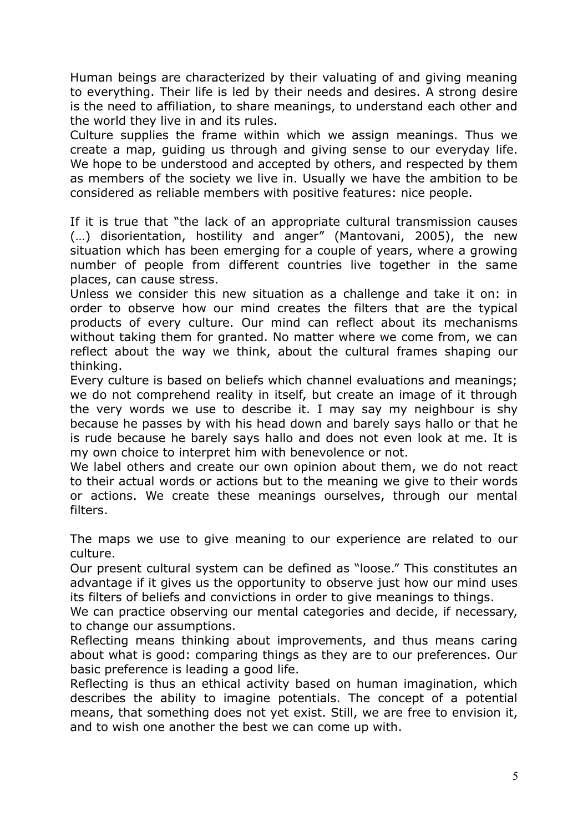Human beings are characterized by their valuating of and giving meaning to everything. Their life is led by their needs and desires. A strong desire is the need to affiliation, to share meanings, to understand each other and the world they live in and its rules.

Culture supplies the frame within which we assign meanings. Thus we create a map, guiding us through and giving sense to our everyday life. We hope to be understood and accepted by others, and respected by them as members of the society we live in. Usually we have the ambition to be considered as reliable members with positive features: nice people.

If it is true that "the lack of an appropriate cultural transmission causes (…) disorientation, hostility and anger" (Mantovani, 2005), the new situation which has been emerging for a couple of years, where a growing number of people from different countries live together in the same places, can cause stress.

Unless we consider this new situation as a challenge and take it on: in order to observe how our mind creates the filters that are the typical products of every culture. Our mind can reflect about its mechanisms without taking them for granted. No matter where we come from, we can reflect about the way we think, about the cultural frames shaping our thinking.

Every culture is based on beliefs which channel evaluations and meanings; we do not comprehend reality in itself, but create an image of it through the very words we use to describe it. I may say my neighbour is shy because he passes by with his head down and barely says hallo or that he is rude because he barely says hallo and does not even look at me. It is my own choice to interpret him with benevolence or not.

We label others and create our own opinion about them, we do not react to their actual words or actions but to the meaning we give to their words or actions. We create these meanings ourselves, through our mental filters.

The maps we use to give meaning to our experience are related to our culture.

Our present cultural system can be defined as "loose." This constitutes an advantage if it gives us the opportunity to observe just how our mind uses its filters of beliefs and convictions in order to give meanings to things.

We can practice observing our mental categories and decide, if necessary, to change our assumptions.

Reflecting means thinking about improvements, and thus means caring about what is good: comparing things as they are to our preferences. Our basic preference is leading a good life.

Reflecting is thus an ethical activity based on human imagination, which describes the ability to imagine potentials. The concept of a potential means, that something does not yet exist. Still, we are free to envision it, and to wish one another the best we can come up with.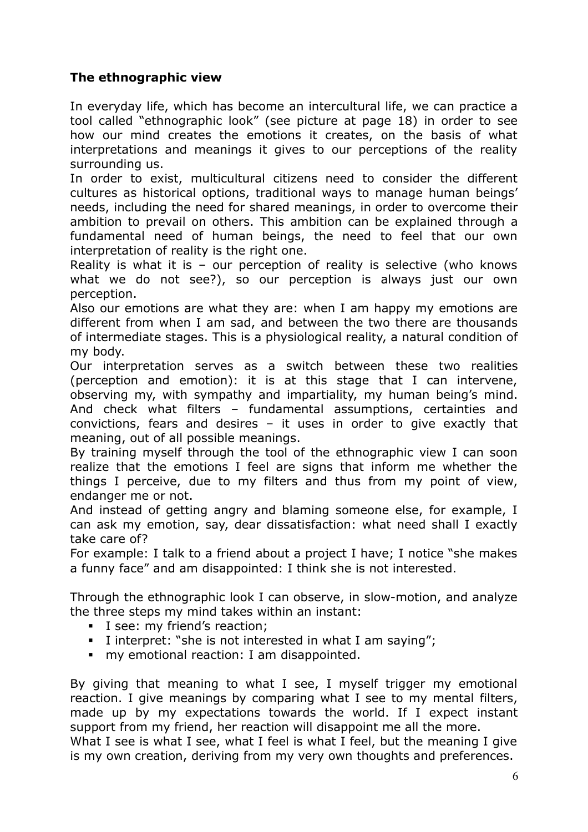# **The ethnographic view**

In everyday life, which has become an intercultural life, we can practice a tool called "ethnographic look" (see picture at page 18) in order to see how our mind creates the emotions it creates, on the basis of what interpretations and meanings it gives to our perceptions of the reality surrounding us.

In order to exist, multicultural citizens need to consider the different cultures as historical options, traditional ways to manage human beings' needs, including the need for shared meanings, in order to overcome their ambition to prevail on others. This ambition can be explained through a fundamental need of human beings, the need to feel that our own interpretation of reality is the right one.

Reality is what it is - our perception of reality is selective (who knows what we do not see?), so our perception is always just our own perception.

Also our emotions are what they are: when I am happy my emotions are different from when I am sad, and between the two there are thousands of intermediate stages. This is a physiological reality, a natural condition of my body.

Our interpretation serves as a switch between these two realities (perception and emotion): it is at this stage that I can intervene, observing my, with sympathy and impartiality, my human being's mind. And check what filters – fundamental assumptions, certainties and convictions, fears and desires – it uses in order to give exactly that meaning, out of all possible meanings.

By training myself through the tool of the ethnographic view I can soon realize that the emotions I feel are signs that inform me whether the things I perceive, due to my filters and thus from my point of view, endanger me or not.

And instead of getting angry and blaming someone else, for example, I can ask my emotion, say, dear dissatisfaction: what need shall I exactly take care of?

For example: I talk to a friend about a project I have; I notice "she makes a funny face" and am disappointed: I think she is not interested.

Through the ethnographic look I can observe, in slow-motion, and analyze the three steps my mind takes within an instant:

- I see: my friend's reaction;
- I interpret: "she is not interested in what I am saying";
- **my emotional reaction: I am disappointed.**

By giving that meaning to what I see, I myself trigger my emotional reaction. I give meanings by comparing what I see to my mental filters, made up by my expectations towards the world. If I expect instant support from my friend, her reaction will disappoint me all the more.

What I see is what I see, what I feel is what I feel, but the meaning I give is my own creation, deriving from my very own thoughts and preferences.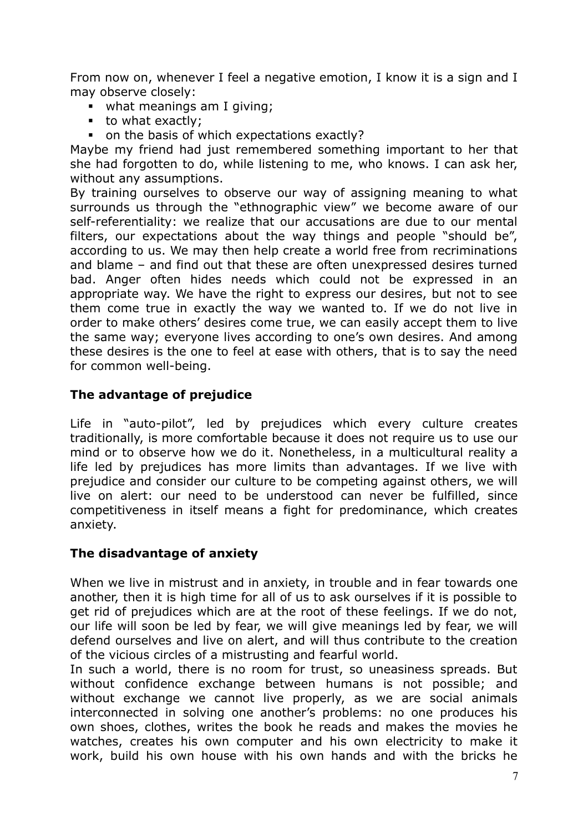From now on, whenever I feel a negative emotion, I know it is a sign and I may observe closely:

- what meanings am I giving;
- $\bullet$  to what exactly;
- on the basis of which expectations exactly?

Maybe my friend had just remembered something important to her that she had forgotten to do, while listening to me, who knows. I can ask her, without any assumptions.

By training ourselves to observe our way of assigning meaning to what surrounds us through the "ethnographic view" we become aware of our self-referentiality: we realize that our accusations are due to our mental filters, our expectations about the way things and people "should be", according to us. We may then help create a world free from recriminations and blame – and find out that these are often unexpressed desires turned bad. Anger often hides needs which could not be expressed in an appropriate way. We have the right to express our desires, but not to see them come true in exactly the way we wanted to. If we do not live in order to make others' desires come true, we can easily accept them to live the same way; everyone lives according to one's own desires. And among these desires is the one to feel at ease with others, that is to say the need for common well-being.

# **The advantage of prejudice**

Life in "auto-pilot", led by prejudices which every culture creates traditionally, is more comfortable because it does not require us to use our mind or to observe how we do it. Nonetheless, in a multicultural reality a life led by prejudices has more limits than advantages. If we live with prejudice and consider our culture to be competing against others, we will live on alert: our need to be understood can never be fulfilled, since competitiveness in itself means a fight for predominance, which creates anxiety.

# **The disadvantage of anxiety**

When we live in mistrust and in anxiety, in trouble and in fear towards one another, then it is high time for all of us to ask ourselves if it is possible to get rid of prejudices which are at the root of these feelings. If we do not, our life will soon be led by fear, we will give meanings led by fear, we will defend ourselves and live on alert, and will thus contribute to the creation of the vicious circles of a mistrusting and fearful world.

In such a world, there is no room for trust, so uneasiness spreads. But without confidence exchange between humans is not possible; and without exchange we cannot live properly, as we are social animals interconnected in solving one another's problems: no one produces his own shoes, clothes, writes the book he reads and makes the movies he watches, creates his own computer and his own electricity to make it work, build his own house with his own hands and with the bricks he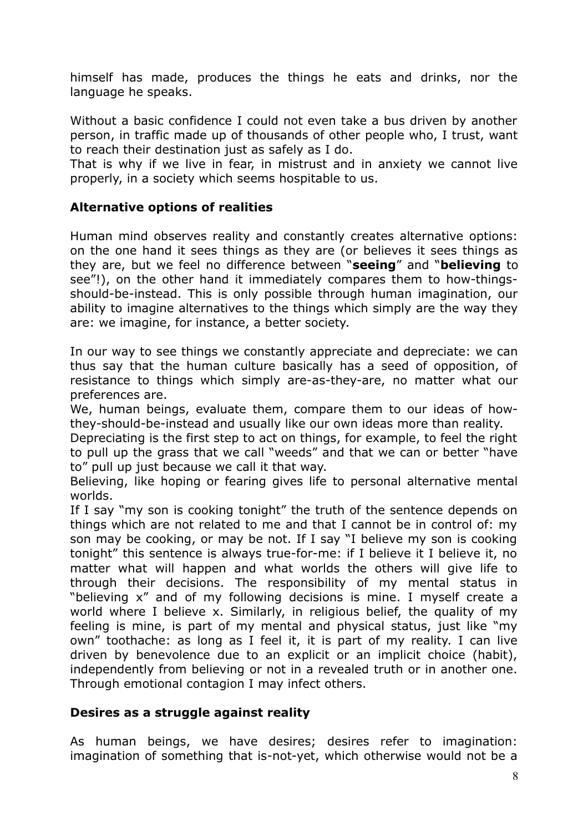himself has made, produces the things he eats and drinks, nor the language he speaks.

Without a basic confidence I could not even take a bus driven by another person, in traffic made up of thousands of other people who, I trust, want to reach their destination just as safely as I do.

That is why if we live in fear, in mistrust and in anxiety we cannot live properly, in a society which seems hospitable to us.

## **Alternative options of realities**

Human mind observes reality and constantly creates alternative options: on the one hand it sees things as they are (or believes it sees things as they are, but we feel no difference between "**seeing**" and "**believing** to see"!), on the other hand it immediately compares them to how-thingsshould-be-instead. This is only possible through human imagination, our ability to imagine alternatives to the things which simply are the way they are: we imagine, for instance, a better society.

In our way to see things we constantly appreciate and depreciate: we can thus say that the human culture basically has a seed of opposition, of resistance to things which simply are-as-they-are, no matter what our preferences are.

We, human beings, evaluate them, compare them to our ideas of howthey-should-be-instead and usually like our own ideas more than reality.

Depreciating is the first step to act on things, for example, to feel the right to pull up the grass that we call "weeds" and that we can or better "have to" pull up just because we call it that way.

Believing, like hoping or fearing gives life to personal alternative mental worlds.

If I say "my son is cooking tonight" the truth of the sentence depends on things which are not related to me and that I cannot be in control of: my son may be cooking, or may be not. If I say "I believe my son is cooking tonight" this sentence is always true-for-me: if I believe it I believe it, no matter what will happen and what worlds the others will give life to through their decisions. The responsibility of my mental status in "believing x" and of my following decisions is mine. I myself create a world where I believe x. Similarly, in religious belief, the quality of my feeling is mine, is part of my mental and physical status, just like "my own" toothache: as long as I feel it, it is part of my reality. I can live driven by benevolence due to an explicit or an implicit choice (habit), independently from believing or not in a revealed truth or in another one. Through emotional contagion I may infect others.

### **Desires as a struggle against reality**

As human beings, we have desires; desires refer to imagination: imagination of something that is-not-yet, which otherwise would not be a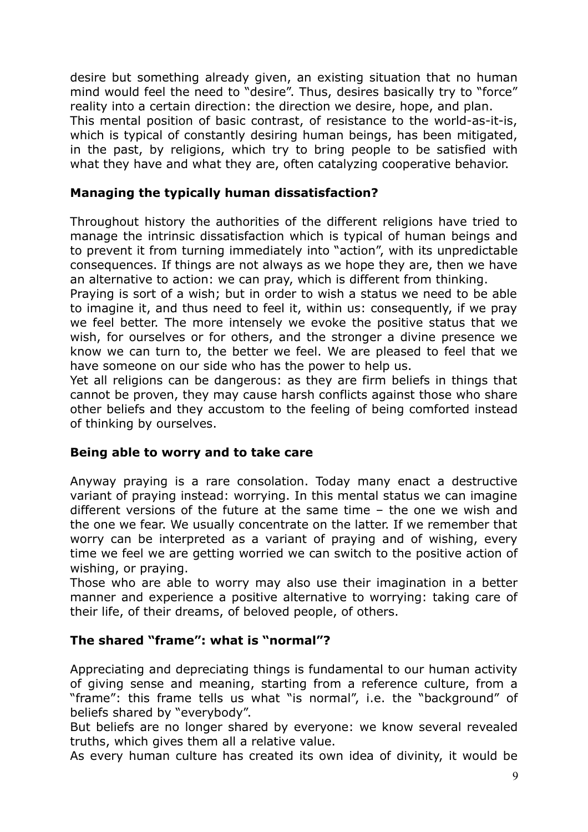desire but something already given, an existing situation that no human mind would feel the need to "desire". Thus, desires basically try to "force" reality into a certain direction: the direction we desire, hope, and plan. This mental position of basic contrast, of resistance to the world-as-it-is, which is typical of constantly desiring human beings, has been mitigated, in the past, by religions, which try to bring people to be satisfied with what they have and what they are, often catalyzing cooperative behavior.

### **Managing the typically human dissatisfaction?**

Throughout history the authorities of the different religions have tried to manage the intrinsic dissatisfaction which is typical of human beings and to prevent it from turning immediately into "action", with its unpredictable consequences. If things are not always as we hope they are, then we have an alternative to action: we can pray, which is different from thinking.

Praying is sort of a wish; but in order to wish a status we need to be able to imagine it, and thus need to feel it, within us: consequently, if we pray we feel better. The more intensely we evoke the positive status that we wish, for ourselves or for others, and the stronger a divine presence we know we can turn to, the better we feel. We are pleased to feel that we have someone on our side who has the power to help us.

Yet all religions can be dangerous: as they are firm beliefs in things that cannot be proven, they may cause harsh conflicts against those who share other beliefs and they accustom to the feeling of being comforted instead of thinking by ourselves.

### **Being able to worry and to take care**

Anyway praying is a rare consolation. Today many enact a destructive variant of praying instead: worrying. In this mental status we can imagine different versions of the future at the same time – the one we wish and the one we fear. We usually concentrate on the latter. If we remember that worry can be interpreted as a variant of praying and of wishing, every time we feel we are getting worried we can switch to the positive action of wishing, or praying.

Those who are able to worry may also use their imagination in a better manner and experience a positive alternative to worrying: taking care of their life, of their dreams, of beloved people, of others.

#### **The shared "frame": what is "normal"?**

Appreciating and depreciating things is fundamental to our human activity of giving sense and meaning, starting from a reference culture, from a "frame": this frame tells us what "is normal", i.e. the "background" of beliefs shared by "everybody".

But beliefs are no longer shared by everyone: we know several revealed truths, which gives them all a relative value.

As every human culture has created its own idea of divinity, it would be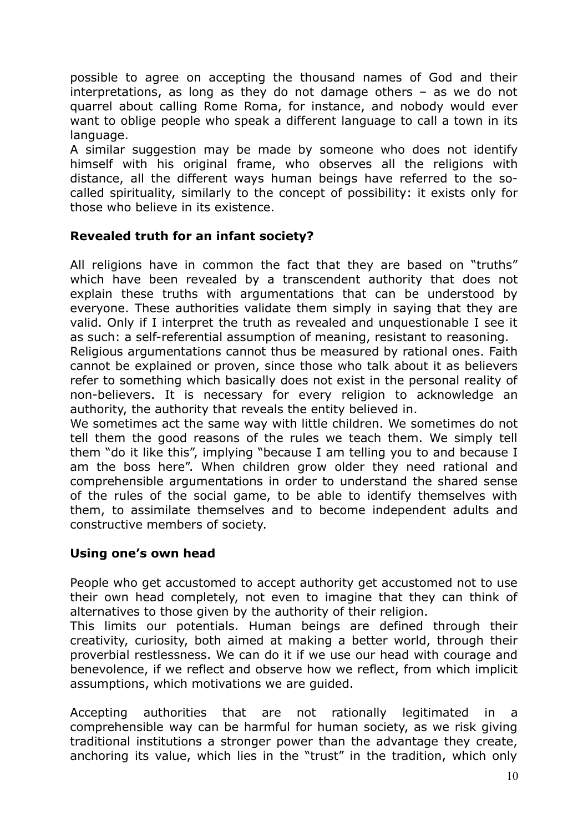possible to agree on accepting the thousand names of God and their interpretations, as long as they do not damage others – as we do not quarrel about calling Rome Roma, for instance, and nobody would ever want to oblige people who speak a different language to call a town in its language.

A similar suggestion may be made by someone who does not identify himself with his original frame, who observes all the religions with distance, all the different ways human beings have referred to the socalled spirituality, similarly to the concept of possibility: it exists only for those who believe in its existence.

### **Revealed truth for an infant society?**

All religions have in common the fact that they are based on "truths" which have been revealed by a transcendent authority that does not explain these truths with argumentations that can be understood by everyone. These authorities validate them simply in saying that they are valid. Only if I interpret the truth as revealed and unquestionable I see it as such: a self-referential assumption of meaning, resistant to reasoning.

Religious argumentations cannot thus be measured by rational ones. Faith cannot be explained or proven, since those who talk about it as believers refer to something which basically does not exist in the personal reality of non-believers. It is necessary for every religion to acknowledge an authority, the authority that reveals the entity believed in.

We sometimes act the same way with little children. We sometimes do not tell them the good reasons of the rules we teach them. We simply tell them "do it like this", implying "because I am telling you to and because I am the boss here". When children grow older they need rational and comprehensible argumentations in order to understand the shared sense of the rules of the social game, to be able to identify themselves with them, to assimilate themselves and to become independent adults and constructive members of society.

### **Using one's own head**

People who get accustomed to accept authority get accustomed not to use their own head completely, not even to imagine that they can think of alternatives to those given by the authority of their religion.

This limits our potentials. Human beings are defined through their creativity, curiosity, both aimed at making a better world, through their proverbial restlessness. We can do it if we use our head with courage and benevolence, if we reflect and observe how we reflect, from which implicit assumptions, which motivations we are guided.

Accepting authorities that are not rationally legitimated in a comprehensible way can be harmful for human society, as we risk giving traditional institutions a stronger power than the advantage they create, anchoring its value, which lies in the "trust" in the tradition, which only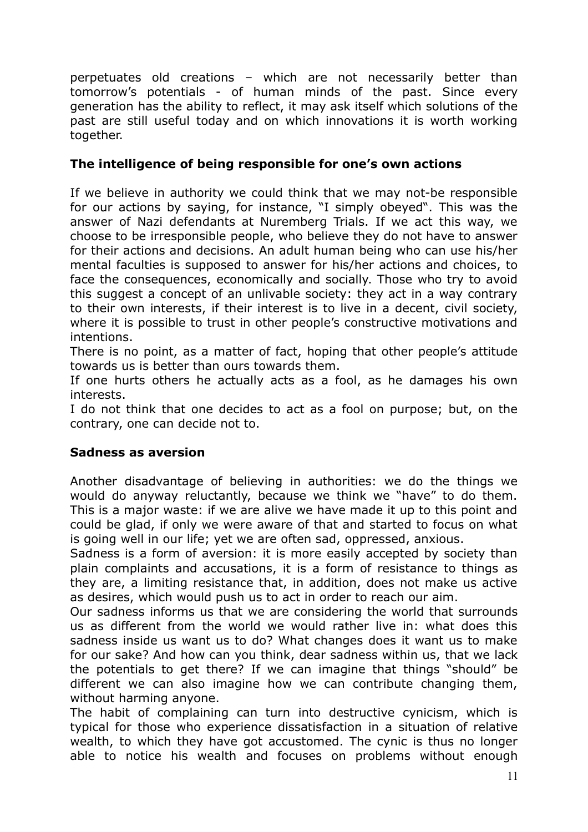perpetuates old creations – which are not necessarily better than tomorrow's potentials - of human minds of the past. Since every generation has the ability to reflect, it may ask itself which solutions of the past are still useful today and on which innovations it is worth working together.

### **The intelligence of being responsible for one's own actions**

If we believe in authority we could think that we may not-be responsible for our actions by saying, for instance, "I simply obeyed". This was the answer of Nazi defendants at Nuremberg Trials. If we act this way, we choose to be irresponsible people, who believe they do not have to answer for their actions and decisions. An adult human being who can use his/her mental faculties is supposed to answer for his/her actions and choices, to face the consequences, economically and socially. Those who try to avoid this suggest a concept of an unlivable society: they act in a way contrary to their own interests, if their interest is to live in a decent, civil society, where it is possible to trust in other people's constructive motivations and intentions.

There is no point, as a matter of fact, hoping that other people's attitude towards us is better than ours towards them.

If one hurts others he actually acts as a fool, as he damages his own interests.

I do not think that one decides to act as a fool on purpose; but, on the contrary, one can decide not to.

#### **Sadness as aversion**

Another disadvantage of believing in authorities: we do the things we would do anyway reluctantly, because we think we "have" to do them. This is a major waste: if we are alive we have made it up to this point and could be glad, if only we were aware of that and started to focus on what is going well in our life; yet we are often sad, oppressed, anxious.

Sadness is a form of aversion: it is more easily accepted by society than plain complaints and accusations, it is a form of resistance to things as they are, a limiting resistance that, in addition, does not make us active as desires, which would push us to act in order to reach our aim.

Our sadness informs us that we are considering the world that surrounds us as different from the world we would rather live in: what does this sadness inside us want us to do? What changes does it want us to make for our sake? And how can you think, dear sadness within us, that we lack the potentials to get there? If we can imagine that things "should" be different we can also imagine how we can contribute changing them, without harming anyone.

The habit of complaining can turn into destructive cynicism, which is typical for those who experience dissatisfaction in a situation of relative wealth, to which they have got accustomed. The cynic is thus no longer able to notice his wealth and focuses on problems without enough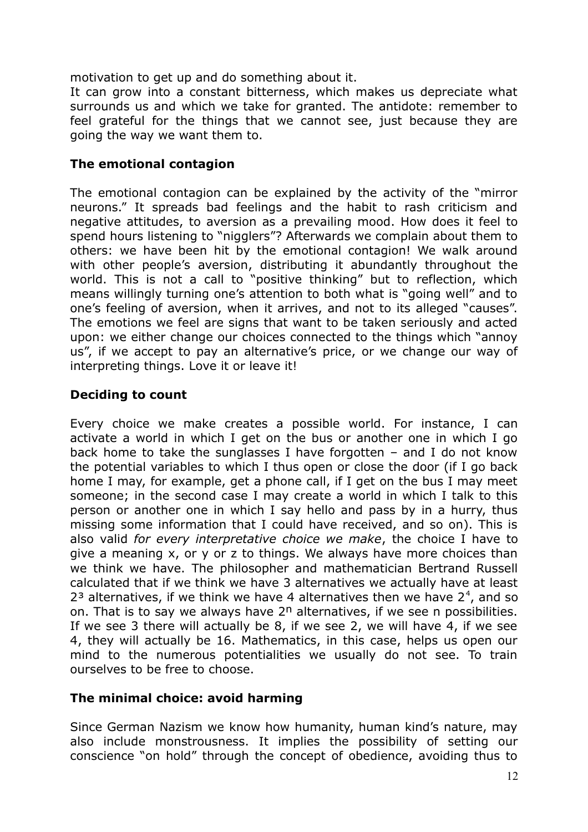motivation to get up and do something about it.

It can grow into a constant bitterness, which makes us depreciate what surrounds us and which we take for granted. The antidote: remember to feel grateful for the things that we cannot see, just because they are going the way we want them to.

### **The emotional contagion**

The emotional contagion can be explained by the activity of the "mirror neurons." It spreads bad feelings and the habit to rash criticism and negative attitudes, to aversion as a prevailing mood. How does it feel to spend hours listening to "nigglers"? Afterwards we complain about them to others: we have been hit by the emotional contagion! We walk around with other people's aversion, distributing it abundantly throughout the world. This is not a call to "positive thinking" but to reflection, which means willingly turning one's attention to both what is "going well" and to one's feeling of aversion, when it arrives, and not to its alleged "causes". The emotions we feel are signs that want to be taken seriously and acted upon: we either change our choices connected to the things which "annoy us", if we accept to pay an alternative's price, or we change our way of interpreting things. Love it or leave it!

### **Deciding to count**

Every choice we make creates a possible world. For instance, I can activate a world in which I get on the bus or another one in which I go back home to take the sunglasses I have forgotten – and I do not know the potential variables to which I thus open or close the door (if I go back home I may, for example, get a phone call, if I get on the bus I may meet someone; in the second case I may create a world in which I talk to this person or another one in which I say hello and pass by in a hurry, thus missing some information that I could have received, and so on). This is also valid *for every interpretative choice we make*, the choice I have to give a meaning x, or y or z to things. We always have more choices than we think we have. The philosopher and mathematician Bertrand Russell calculated that if we think we have 3 alternatives we actually have at least  $2<sup>3</sup>$  alternatives, if we think we have 4 alternatives then we have  $2<sup>4</sup>$ , and so on. That is to say we always have  $2<sup>n</sup>$  alternatives, if we see n possibilities. If we see 3 there will actually be 8, if we see 2, we will have 4, if we see 4, they will actually be 16. Mathematics, in this case, helps us open our mind to the numerous potentialities we usually do not see. To train ourselves to be free to choose.

### **The minimal choice: avoid harming**

Since German Nazism we know how humanity, human kind's nature, may also include monstrousness. It implies the possibility of setting our conscience "on hold" through the concept of obedience, avoiding thus to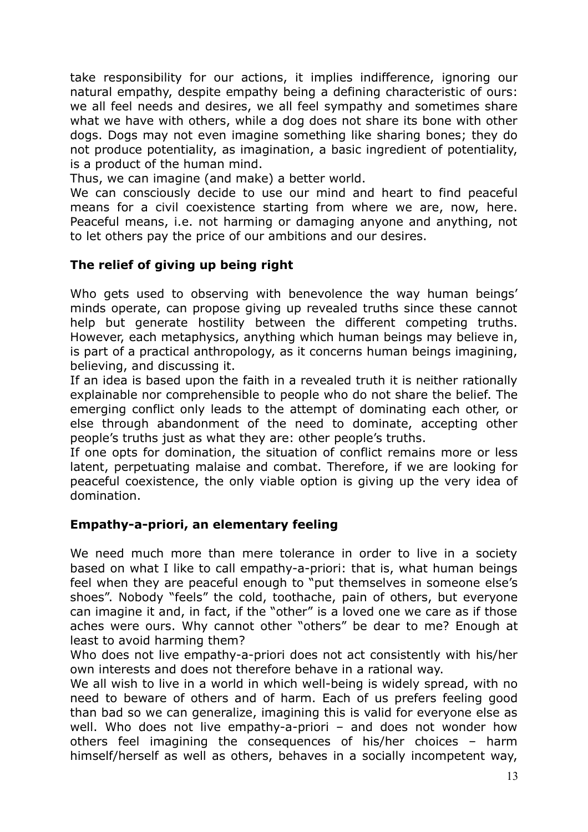take responsibility for our actions, it implies indifference, ignoring our natural empathy, despite empathy being a defining characteristic of ours: we all feel needs and desires, we all feel sympathy and sometimes share what we have with others, while a dog does not share its bone with other dogs. Dogs may not even imagine something like sharing bones; they do not produce potentiality, as imagination, a basic ingredient of potentiality, is a product of the human mind.

Thus, we can imagine (and make) a better world.

We can consciously decide to use our mind and heart to find peaceful means for a civil coexistence starting from where we are, now, here. Peaceful means, i.e. not harming or damaging anyone and anything, not to let others pay the price of our ambitions and our desires.

### **The relief of giving up being right**

Who gets used to observing with benevolence the way human beings' minds operate, can propose giving up revealed truths since these cannot help but generate hostility between the different competing truths. However, each metaphysics, anything which human beings may believe in, is part of a practical anthropology, as it concerns human beings imagining, believing, and discussing it.

If an idea is based upon the faith in a revealed truth it is neither rationally explainable nor comprehensible to people who do not share the belief. The emerging conflict only leads to the attempt of dominating each other, or else through abandonment of the need to dominate, accepting other people's truths just as what they are: other people's truths.

If one opts for domination, the situation of conflict remains more or less latent, perpetuating malaise and combat. Therefore, if we are looking for peaceful coexistence, the only viable option is giving up the very idea of domination.

#### **Empathy-a-priori, an elementary feeling**

We need much more than mere tolerance in order to live in a society based on what I like to call empathy-a-priori: that is, what human beings feel when they are peaceful enough to "put themselves in someone else's shoes". Nobody "feels" the cold, toothache, pain of others, but everyone can imagine it and, in fact, if the "other" is a loved one we care as if those aches were ours. Why cannot other "others" be dear to me? Enough at least to avoid harming them?

Who does not live empathy-a-priori does not act consistently with his/her own interests and does not therefore behave in a rational way.

We all wish to live in a world in which well-being is widely spread, with no need to beware of others and of harm. Each of us prefers feeling good than bad so we can generalize, imagining this is valid for everyone else as well. Who does not live empathy-a-priori – and does not wonder how others feel imagining the consequences of his/her choices – harm himself/herself as well as others, behaves in a socially incompetent way,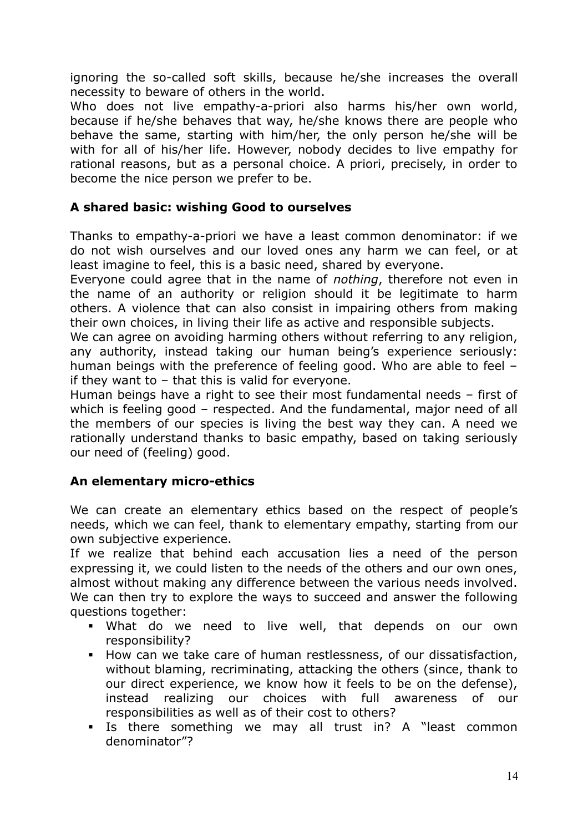ignoring the so-called soft skills, because he/she increases the overall necessity to beware of others in the world.

Who does not live empathy-a-priori also harms his/her own world, because if he/she behaves that way, he/she knows there are people who behave the same, starting with him/her, the only person he/she will be with for all of his/her life. However, nobody decides to live empathy for rational reasons, but as a personal choice. A priori, precisely, in order to become the nice person we prefer to be.

# **A shared basic: wishing Good to ourselves**

Thanks to empathy-a-priori we have a least common denominator: if we do not wish ourselves and our loved ones any harm we can feel, or at least imagine to feel, this is a basic need, shared by everyone.

Everyone could agree that in the name of *nothing*, therefore not even in the name of an authority or religion should it be legitimate to harm others. A violence that can also consist in impairing others from making their own choices, in living their life as active and responsible subjects.

We can agree on avoiding harming others without referring to any religion, any authority, instead taking our human being's experience seriously: human beings with the preference of feeling good. Who are able to feel – if they want to – that this is valid for everyone.

Human beings have a right to see their most fundamental needs – first of which is feeling good – respected. And the fundamental, major need of all the members of our species is living the best way they can. A need we rationally understand thanks to basic empathy, based on taking seriously our need of (feeling) good.

### **An elementary micro-ethics**

We can create an elementary ethics based on the respect of people's needs, which we can feel, thank to elementary empathy, starting from our own subjective experience.

If we realize that behind each accusation lies a need of the person expressing it, we could listen to the needs of the others and our own ones, almost without making any difference between the various needs involved. We can then try to explore the ways to succeed and answer the following questions together:

- What do we need to live well, that depends on our own responsibility?
- How can we take care of human restlessness, of our dissatisfaction, without blaming, recriminating, attacking the others (since, thank to our direct experience, we know how it feels to be on the defense), instead realizing our choices with full awareness of our responsibilities as well as of their cost to others?
- Is there something we may all trust in? A "least common denominator"?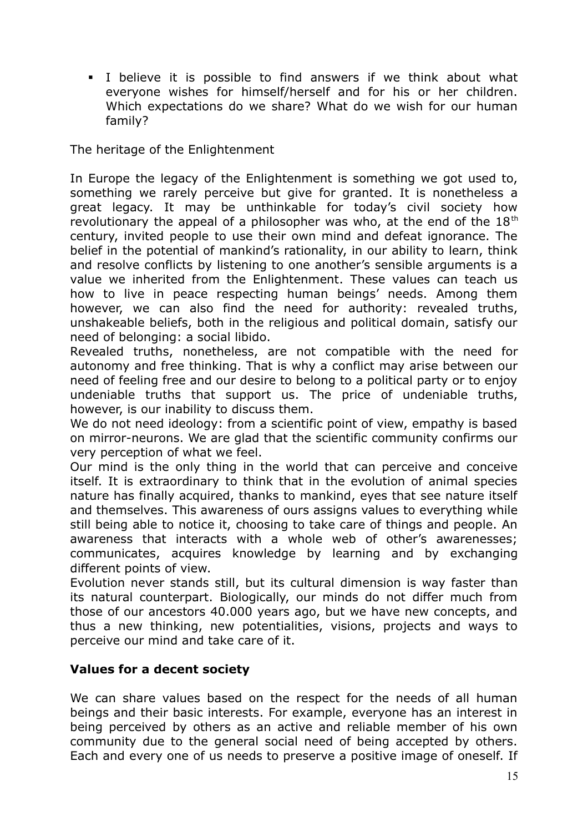I believe it is possible to find answers if we think about what everyone wishes for himself/herself and for his or her children. Which expectations do we share? What do we wish for our human family?

The heritage of the Enlightenment

In Europe the legacy of the Enlightenment is something we got used to, something we rarely perceive but give for granted. It is nonetheless a great legacy. It may be unthinkable for today's civil society how revolutionary the appeal of a philosopher was who, at the end of the  $18<sup>th</sup>$ century, invited people to use their own mind and defeat ignorance. The belief in the potential of mankind's rationality, in our ability to learn, think and resolve conflicts by listening to one another's sensible arguments is a value we inherited from the Enlightenment. These values can teach us how to live in peace respecting human beings' needs. Among them however, we can also find the need for authority: revealed truths, unshakeable beliefs, both in the religious and political domain, satisfy our need of belonging: a social libido.

Revealed truths, nonetheless, are not compatible with the need for autonomy and free thinking. That is why a conflict may arise between our need of feeling free and our desire to belong to a political party or to enjoy undeniable truths that support us. The price of undeniable truths, however, is our inability to discuss them.

We do not need ideology: from a scientific point of view, empathy is based on mirror-neurons. We are glad that the scientific community confirms our very perception of what we feel.

Our mind is the only thing in the world that can perceive and conceive itself. It is extraordinary to think that in the evolution of animal species nature has finally acquired, thanks to mankind, eyes that see nature itself and themselves. This awareness of ours assigns values to everything while still being able to notice it, choosing to take care of things and people. An awareness that interacts with a whole web of other's awarenesses; communicates, acquires knowledge by learning and by exchanging different points of view.

Evolution never stands still, but its cultural dimension is way faster than its natural counterpart. Biologically, our minds do not differ much from those of our ancestors 40.000 years ago, but we have new concepts, and thus a new thinking, new potentialities, visions, projects and ways to perceive our mind and take care of it.

### **Values for a decent society**

We can share values based on the respect for the needs of all human beings and their basic interests. For example, everyone has an interest in being perceived by others as an active and reliable member of his own community due to the general social need of being accepted by others. Each and every one of us needs to preserve a positive image of oneself. If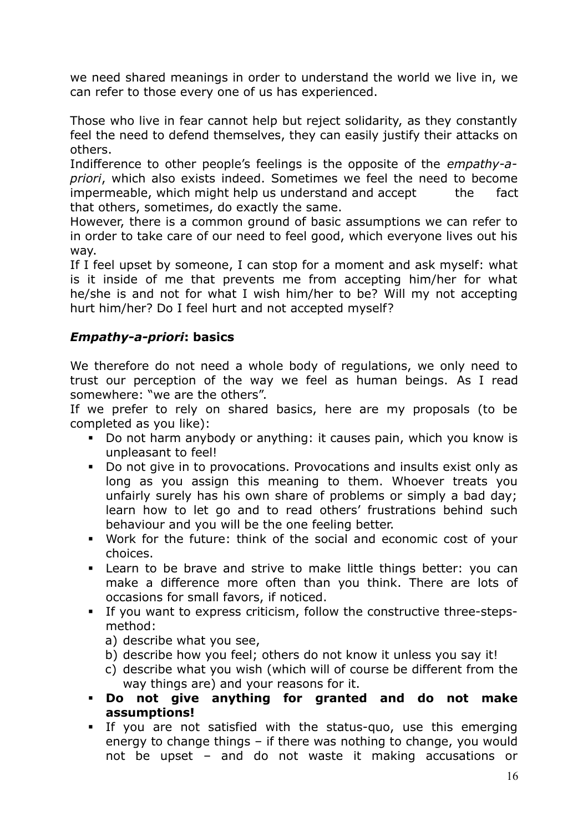we need shared meanings in order to understand the world we live in, we can refer to those every one of us has experienced.

Those who live in fear cannot help but reject solidarity, as they constantly feel the need to defend themselves, they can easily justify their attacks on others.

Indifference to other people's feelings is the opposite of the *empathy-apriori*, which also exists indeed. Sometimes we feel the need to become impermeable, which might help us understand and accept the fact that others, sometimes, do exactly the same.

However, there is a common ground of basic assumptions we can refer to in order to take care of our need to feel good, which everyone lives out his way.

If I feel upset by someone, I can stop for a moment and ask myself: what is it inside of me that prevents me from accepting him/her for what he/she is and not for what I wish him/her to be? Will my not accepting hurt him/her? Do I feel hurt and not accepted myself?

# *Empathy-a-priori***: basics**

We therefore do not need a whole body of regulations, we only need to trust our perception of the way we feel as human beings. As I read somewhere: "we are the others".

If we prefer to rely on shared basics, here are my proposals (to be completed as you like):

- Do not harm anybody or anything: it causes pain, which you know is unpleasant to feel!
- Do not give in to provocations. Provocations and insults exist only as long as you assign this meaning to them. Whoever treats you unfairly surely has his own share of problems or simply a bad day; learn how to let go and to read others' frustrations behind such behaviour and you will be the one feeling better.
- Work for the future: think of the social and economic cost of your choices.
- Learn to be brave and strive to make little things better: you can make a difference more often than you think. There are lots of occasions for small favors, if noticed.
- If you want to express criticism, follow the constructive three-stepsmethod:
	- a) describe what you see,
	- b) describe how you feel; others do not know it unless you say it!
	- c) describe what you wish (which will of course be different from the way things are) and your reasons for it.
- **Do not give anything for granted and do not make assumptions!**
- If you are not satisfied with the status-quo, use this emerging energy to change things – if there was nothing to change, you would not be upset – and do not waste it making accusations or